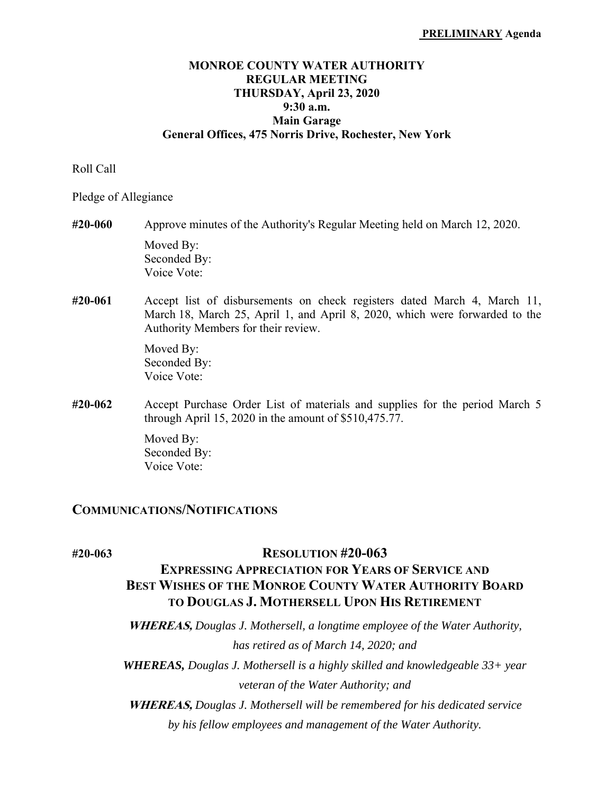## **MONROE COUNTY WATER AUTHORITY REGULAR MEETING THURSDAY, April 23, 2020 9:30 a.m. Main Garage General Offices, 475 Norris Drive, Rochester, New York**

Roll Call

Pledge of Allegiance

# **#20-060** Approve minutes of the Authority's Regular Meeting held on March 12, 2020. Moved By: Seconded By: Voice Vote:

**#20-061** Accept list of disbursements on check registers dated March 4, March 11, March 18, March 25, April 1, and April 8, 2020, which were forwarded to the Authority Members for their review.

> Moved By: Seconded By: Voice Vote:

**#20-062** Accept Purchase Order List of materials and supplies for the period March 5 through April 15, 2020 in the amount of \$510,475.77.

> Moved By: Seconded By: Voice Vote:

## **COMMUNICATIONS/NOTIFICATIONS**

#### **#20-063 RESOLUTION #20-063**

## **EXPRESSING APPRECIATION FOR YEARS OF SERVICE AND BEST WISHES OF THE MONROE COUNTY WATER AUTHORITY BOARD TO DOUGLAS J. MOTHERSELL UPON HIS RETIREMENT**

 **WHEREAS,** *Douglas J. Mothersell, a longtime employee of the Water Authority, has retired as of March 14, 2020; and WHEREAS, Douglas J. Mothersell is a highly skilled and knowledgeable 33+ year veteran of the Water Authority; and*   **WHEREAS,** *Douglas J. Mothersell will be remembered for his dedicated service* 

 *by his fellow employees and management of the Water Authority.*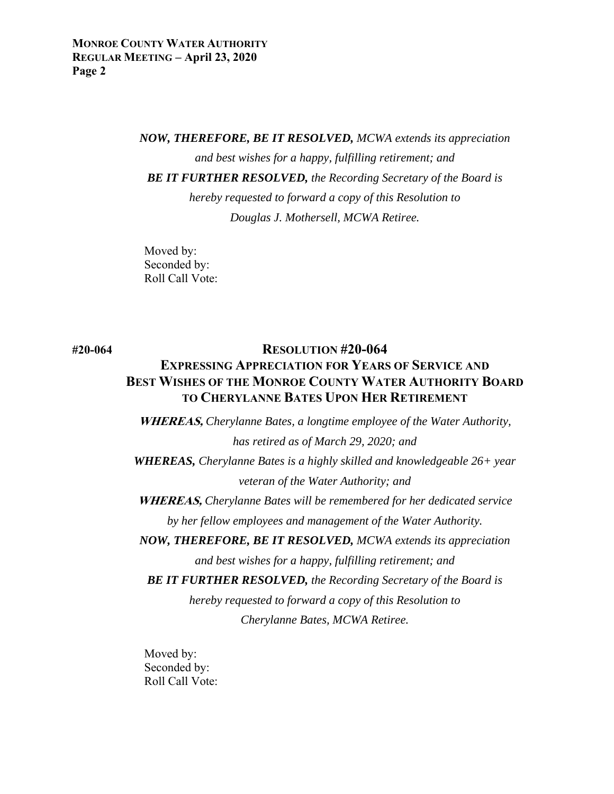*NOW, THEREFORE, BE IT RESOLVED, MCWA extends its appreciation and best wishes for a happy, fulfilling retirement; and BE IT FURTHER RESOLVED, the Recording Secretary of the Board is hereby requested to forward a copy of this Resolution to Douglas J. Mothersell, MCWA Retiree.* 

Moved by: Seconded by: Roll Call Vote:

## **#20-064 RESOLUTION #20-064 EXPRESSING APPRECIATION FOR YEARS OF SERVICE AND BEST WISHES OF THE MONROE COUNTY WATER AUTHORITY BOARD TO CHERYLANNE BATES UPON HER RETIREMENT**

 **WHEREAS,** *Cherylanne Bates, a longtime employee of the Water Authority, has retired as of March 29, 2020; and WHEREAS, Cherylanne Bates is a highly skilled and knowledgeable 26+ year veteran of the Water Authority; and*   **WHEREAS,** *Cherylanne Bates will be remembered for her dedicated service by her fellow employees and management of the Water Authority. NOW, THEREFORE, BE IT RESOLVED, MCWA extends its appreciation and best wishes for a happy, fulfilling retirement; and BE IT FURTHER RESOLVED, the Recording Secretary of the Board is hereby requested to forward a copy of this Resolution to Cherylanne Bates, MCWA Retiree.*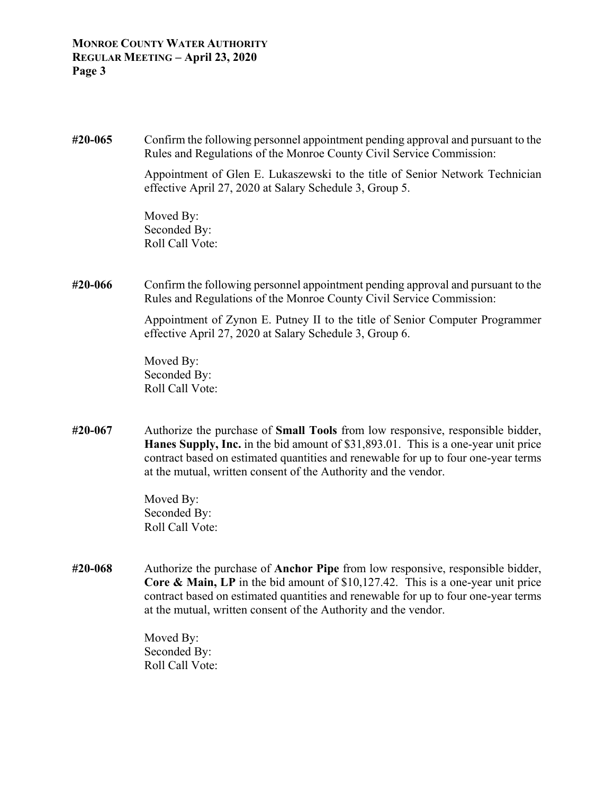**#20-065** Confirm the following personnel appointment pending approval and pursuant to the Rules and Regulations of the Monroe County Civil Service Commission:

> Appointment of Glen E. Lukaszewski to the title of Senior Network Technician effective April 27, 2020 at Salary Schedule 3, Group 5.

 Moved By: Seconded By: Roll Call Vote:

**#20-066** Confirm the following personnel appointment pending approval and pursuant to the Rules and Regulations of the Monroe County Civil Service Commission:

> Appointment of Zynon E. Putney II to the title of Senior Computer Programmer effective April 27, 2020 at Salary Schedule 3, Group 6.

 Moved By: Seconded By: Roll Call Vote:

**#20-067** Authorize the purchase of **Small Tools** from low responsive, responsible bidder, **Hanes Supply, Inc.** in the bid amount of \$31,893.01. This is a one-year unit price contract based on estimated quantities and renewable for up to four one-year terms at the mutual, written consent of the Authority and the vendor.

> Moved By: Seconded By: Roll Call Vote:

**#20-068** Authorize the purchase of **Anchor Pipe** from low responsive, responsible bidder, **Core & Main, LP** in the bid amount of \$10,127.42. This is a one-year unit price contract based on estimated quantities and renewable for up to four one-year terms at the mutual, written consent of the Authority and the vendor.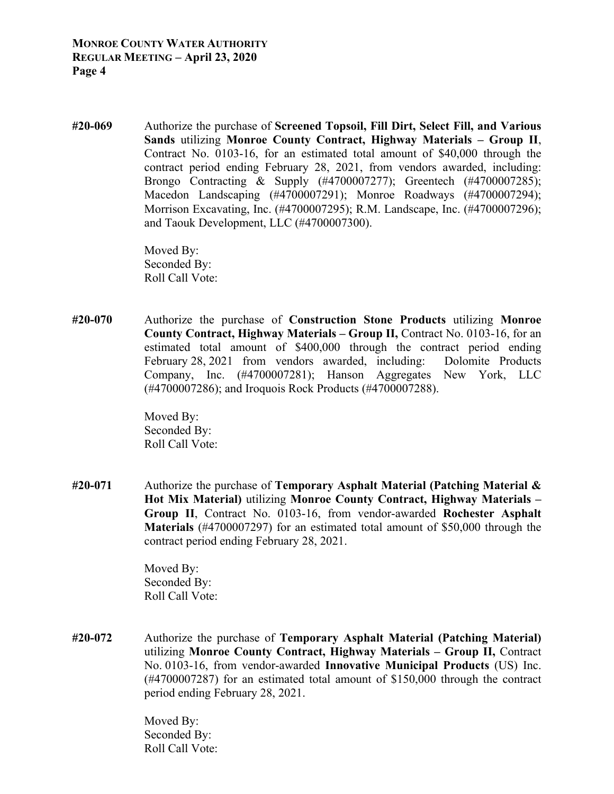**#20-069** Authorize the purchase of **Screened Topsoil, Fill Dirt, Select Fill, and Various Sands** utilizing **Monroe County Contract, Highway Materials – Group II**, Contract No. 0103-16, for an estimated total amount of \$40,000 through the contract period ending February 28, 2021, from vendors awarded, including: Brongo Contracting & Supply (#4700007277); Greentech (#4700007285); Macedon Landscaping (#4700007291); Monroe Roadways (#4700007294); Morrison Excavating, Inc. (#4700007295); R.M. Landscape, Inc. (#4700007296); and Taouk Development, LLC (#4700007300).

> Moved By: Seconded By: Roll Call Vote:

**#20-070** Authorize the purchase of **Construction Stone Products** utilizing **Monroe County Contract, Highway Materials – Group II,** Contract No. 0103-16, for an estimated total amount of \$400,000 through the contract period ending February 28, 2021 from vendors awarded, including: Dolomite Products Company, Inc. (#4700007281); Hanson Aggregates New York, LLC (#4700007286); and Iroquois Rock Products (#4700007288).

> Moved By: Seconded By: Roll Call Vote:

**#20-071** Authorize the purchase of **Temporary Asphalt Material (Patching Material & Hot Mix Material)** utilizing **Monroe County Contract, Highway Materials – Group II**, Contract No. 0103-16, from vendor-awarded **Rochester Asphalt Materials** (#4700007297) for an estimated total amount of \$50,000 through the contract period ending February 28, 2021.

> Moved By: Seconded By: Roll Call Vote:

**#20-072** Authorize the purchase of **Temporary Asphalt Material (Patching Material)**  utilizing **Monroe County Contract, Highway Materials – Group II,** Contract No. 0103-16, from vendor-awarded **Innovative Municipal Products** (US) Inc. (#4700007287) for an estimated total amount of \$150,000 through the contract period ending February 28, 2021.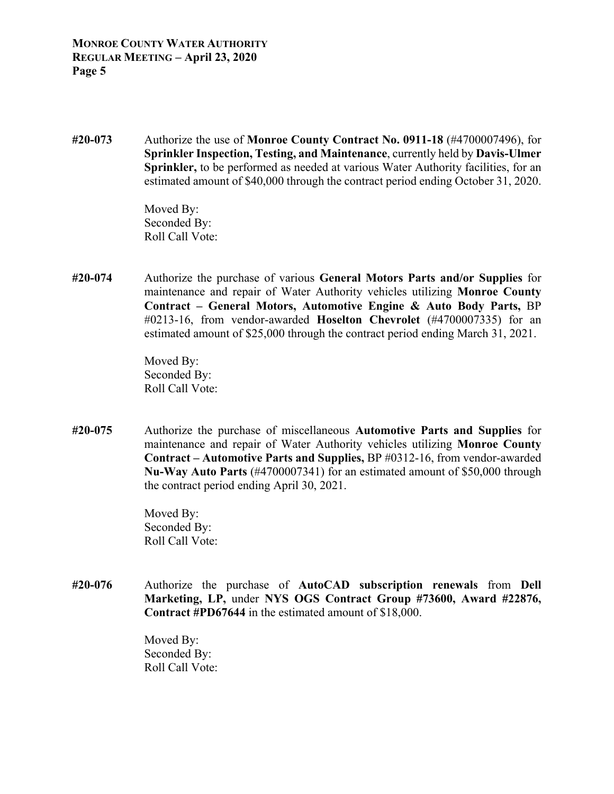**#20-073** Authorize the use of **Monroe County Contract No. 0911-18** (#4700007496), for **Sprinkler Inspection, Testing, and Maintenance**, currently held by **Davis-Ulmer Sprinkler,** to be performed as needed at various Water Authority facilities, for an estimated amount of \$40,000 through the contract period ending October 31, 2020.

> Moved By: Seconded By: Roll Call Vote:

**#20-074** Authorize the purchase of various **General Motors Parts and/or Supplies** for maintenance and repair of Water Authority vehicles utilizing **Monroe County Contract – General Motors, Automotive Engine & Auto Body Parts,** BP #0213-16, from vendor-awarded **Hoselton Chevrolet** (#4700007335) for an estimated amount of \$25,000 through the contract period ending March 31, 2021.

> Moved By: Seconded By: Roll Call Vote:

**#20-075** Authorize the purchase of miscellaneous **Automotive Parts and Supplies** for maintenance and repair of Water Authority vehicles utilizing **Monroe County Contract – Automotive Parts and Supplies,** BP #0312-16, from vendor-awarded **Nu-Way Auto Parts** (#4700007341) for an estimated amount of \$50,000 through the contract period ending April 30, 2021.

> Moved By: Seconded By: Roll Call Vote:

**#20-076** Authorize the purchase of **AutoCAD subscription renewals** from **Dell Marketing, LP,** under **NYS OGS Contract Group #73600, Award #22876, Contract #PD67644** in the estimated amount of \$18,000.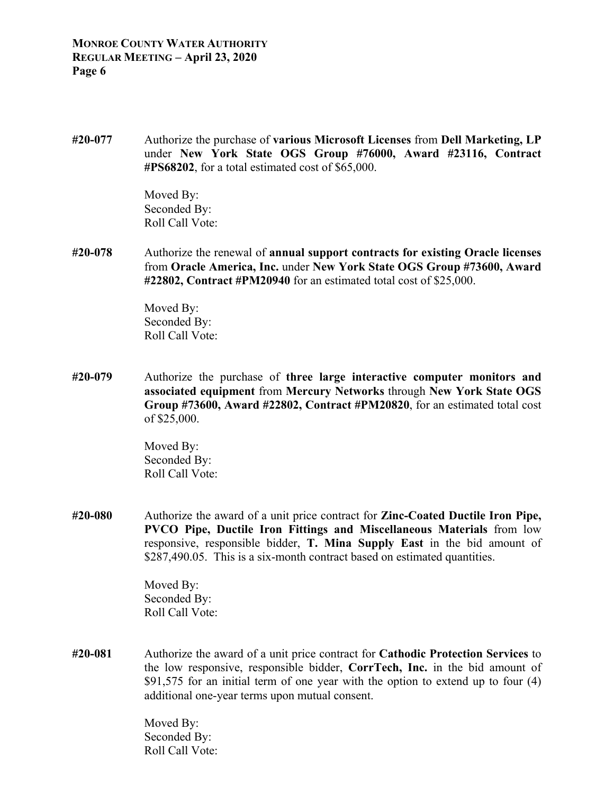**#20-077** Authorize the purchase of **various Microsoft Licenses** from **Dell Marketing, LP** under **New York State OGS Group #76000, Award #23116, Contract #PS68202**, for a total estimated cost of \$65,000.

> Moved By: Seconded By: Roll Call Vote:

**#20-078** Authorize the renewal of **annual support contracts for existing Oracle licenses** from **Oracle America, Inc.** under **New York State OGS Group #73600, Award #22802, Contract #PM20940** for an estimated total cost of \$25,000.

> Moved By: Seconded By: Roll Call Vote:

**#20-079** Authorize the purchase of **three large interactive computer monitors and associated equipment** from **Mercury Networks** through **New York State OGS Group #73600, Award #22802, Contract #PM20820**, for an estimated total cost of \$25,000.

> Moved By: Seconded By: Roll Call Vote:

**#20-080** Authorize the award of a unit price contract for **Zinc-Coated Ductile Iron Pipe, PVCO Pipe, Ductile Iron Fittings and Miscellaneous Materials** from low responsive, responsible bidder, **T. Mina Supply East** in the bid amount of \$287,490.05. This is a six-month contract based on estimated quantities.

> Moved By: Seconded By: Roll Call Vote:

**#20-081** Authorize the award of a unit price contract for **Cathodic Protection Services** to the low responsive, responsible bidder, **CorrTech, Inc.** in the bid amount of \$91,575 for an initial term of one year with the option to extend up to four (4) additional one-year terms upon mutual consent.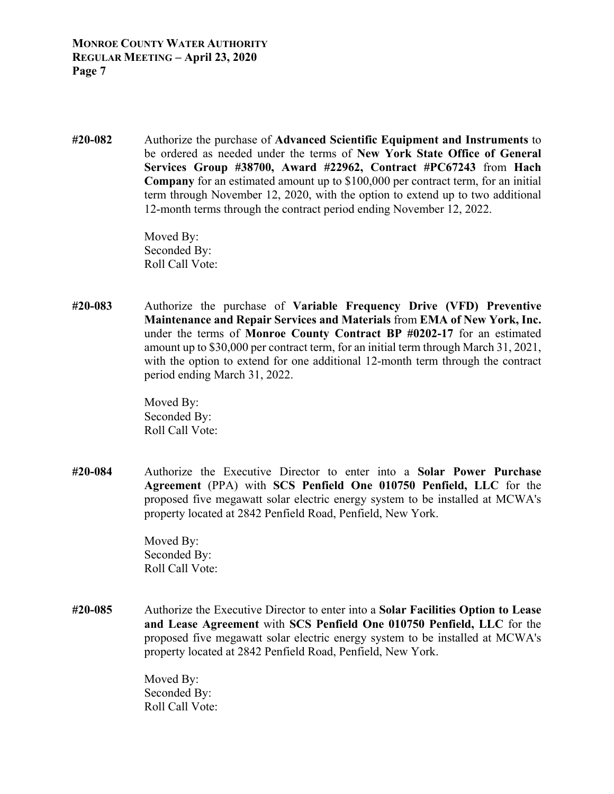**#20-082** Authorize the purchase of **Advanced Scientific Equipment and Instruments** to be ordered as needed under the terms of **New York State Office of General Services Group #38700, Award #22962, Contract #PC67243** from **Hach Company** for an estimated amount up to \$100,000 per contract term, for an initial term through November 12, 2020, with the option to extend up to two additional 12-month terms through the contract period ending November 12, 2022.

> Moved By: Seconded By: Roll Call Vote:

**#20-083** Authorize the purchase of **Variable Frequency Drive (VFD) Preventive Maintenance and Repair Services and Materials** from **EMA of New York, Inc.** under the terms of **Monroe County Contract BP #0202-17** for an estimated amount up to \$30,000 per contract term, for an initial term through March 31, 2021, with the option to extend for one additional 12-month term through the contract period ending March 31, 2022.

> Moved By: Seconded By: Roll Call Vote:

**#20-084** Authorize the Executive Director to enter into a **Solar Power Purchase Agreement** (PPA) with **SCS Penfield One 010750 Penfield, LLC** for the proposed five megawatt solar electric energy system to be installed at MCWA's property located at 2842 Penfield Road, Penfield, New York.

> Moved By: Seconded By: Roll Call Vote:

**#20-085** Authorize the Executive Director to enter into a **Solar Facilities Option to Lease and Lease Agreement** with **SCS Penfield One 010750 Penfield, LLC** for the proposed five megawatt solar electric energy system to be installed at MCWA's property located at 2842 Penfield Road, Penfield, New York.